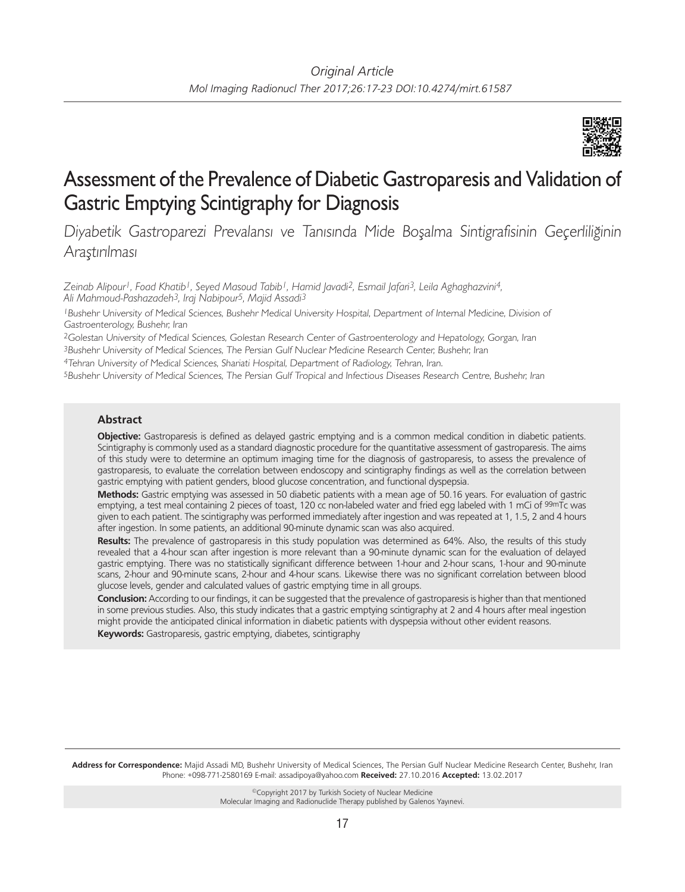

# Assessment of the Prevalence of Diabetic Gastroparesis and Validation of Gastric Emptying Scintigraphy for Diagnosis

Diyabetik Gastroparezi Prevalansı ve Tanısında Mide Boşalma Sintigrafisinin Geçerliliğinin Araştırılması

*Zeinab Alipour1, Foad Khatib1, Seyed Masoud Tabib1, Hamid Javadi2, Esmail Jafari3, Leila Aghaghazvini4, Ali Mahmoud-Pashazadeh3, Iraj Nabipour5, Majid Assadi3*

<sup>1</sup>Bushehr University of Medical Sciences, Bushehr Medical University Hospital, Department of Internal Medicine, Division of Gastroenterology, Bushehr, Iran

<sup>2</sup>Golestan University of Medical Sciences, Golestan Research Center of Gastroenterology and Hepatology, Gorgan, Iran

<sup>3</sup>Bushehr University of Medical Sciences, The Persian Gulf Nuclear Medicine Research Center, Bushehr, Iran

<sup>4</sup>Tehran University of Medical Sciences, Shariati Hospital, Department of Radiology, Tehran, Iran.

<sup>5</sup>Bushehr University of Medical Sciences, The Persian Gulf Tropical and Infectious Diseases Research Centre, Bushehr, Iran

## **Abstract**

**Objective:** Gastroparesis is defined as delayed gastric emptying and is a common medical condition in diabetic patients. Scintigraphy is commonly used as a standard diagnostic procedure for the quantitative assessment of gastroparesis. The aims of this study were to determine an optimum imaging time for the diagnosis of gastroparesis, to assess the prevalence of gastroparesis, to evaluate the correlation between endoscopy and scintigraphy findings as well as the correlation between gastric emptying with patient genders, blood glucose concentration, and functional dyspepsia.

**Methods:** Gastric emptying was assessed in 50 diabetic patients with a mean age of 50.16 years. For evaluation of gastric emptying, a test meal containing 2 pieces of toast, 120 cc non-labeled water and fried egg labeled with 1 mCi of 99mTc was given to each patient. The scintigraphy was performed immediately after ingestion and was repeated at 1, 1.5, 2 and 4 hours after ingestion. In some patients, an additional 90-minute dynamic scan was also acquired.

**Results:** The prevalence of gastroparesis in this study population was determined as 64%. Also, the results of this study revealed that a 4-hour scan after ingestion is more relevant than a 90-minute dynamic scan for the evaluation of delayed gastric emptying. There was no statistically significant difference between 1-hour and 2-hour scans, 1-hour and 90-minute scans, 2-hour and 90-minute scans, 2-hour and 4-hour scans. Likewise there was no significant correlation between blood glucose levels, gender and calculated values of gastric emptying time in all groups.

**Conclusion:** According to our findings, it can be suggested that the prevalence of gastroparesis is higher than that mentioned in some previous studies. Also, this study indicates that a gastric emptying scintigraphy at 2 and 4 hours after meal ingestion might provide the anticipated clinical information in diabetic patients with dyspepsia without other evident reasons.

**Keywords:** Gastroparesis, gastric emptying, diabetes, scintigraphy

**Address for Correspondence:** Majid Assadi MD, Bushehr University of Medical Sciences, The Persian Gulf Nuclear Medicine Research Center, Bushehr, Iran Phone: +098-771-2580169 E-mail: assadipoya@yahoo.com **Received:** 27.10.2016 **Accepted:** 13.02.2017

> ©Copyright 2017 by Turkish Society of Nuclear Medicine Molecular Imaging and Radionuclide Therapy published by Galenos Yayınevi.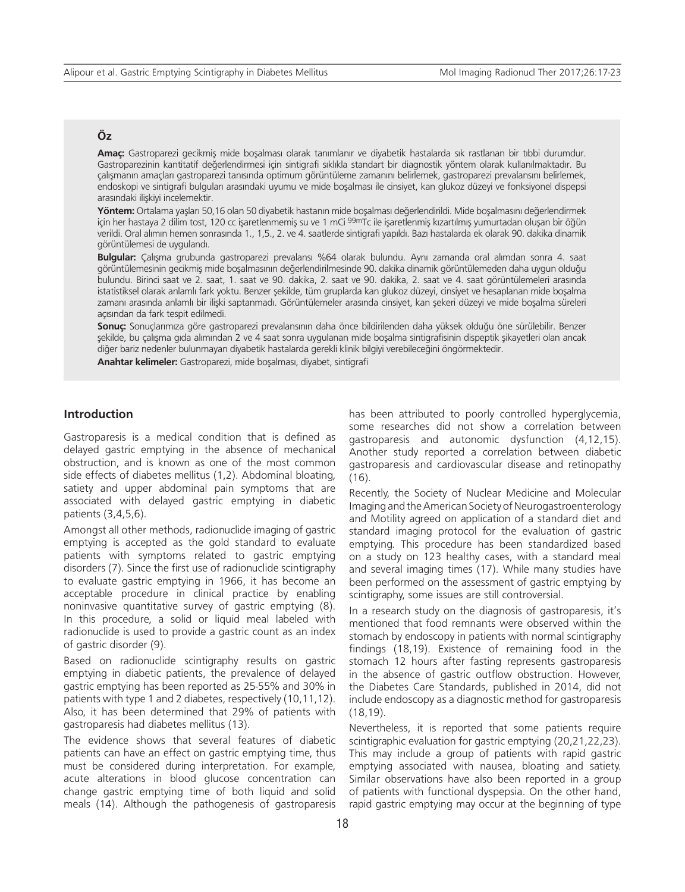## **Öz**

**Amaç:** Gastroparezi gecikmiş mide boşalması olarak tanımlanır ve diyabetik hastalarda sık rastlanan bir tıbbi durumdur. Gastroparezinin kantitatif değerlendirmesi için sintigrafi sıklıkla standart bir diagnostik yöntem olarak kullanılmaktadır. Bu çalışmanın amaçları gastroparezi tanısında optimum görüntüleme zamanını belirlemek, gastroparezi prevalansını belirlemek, endoskopi ve sintigrafi bulguları arasındaki uyumu ve mide boşalması ile cinsiyet, kan glukoz düzeyi ve fonksiyonel dispepsi arasındaki ilişkiyi incelemektir.

**Yöntem:** Ortalama yaşları 50,16 olan 50 diyabetik hastanın mide boşalması değerlendirildi. Mide boşalmasını değerlendirmek için her hastaya 2 dilim tost, 120 cc işaretlenmemiş su ve 1 mCi 99mTc ile işaretlenmiş kızartılmış yumurtadan oluşan bir öğün verildi. Oral alımın hemen sonrasında 1., 1,5., 2. ve 4. saatlerde sintigrafi yapıldı. Bazı hastalarda ek olarak 90. dakika dinamik görüntülemesi de uygulandı.

**Bulgular:** Çalışma grubunda gastroparezi prevalansı %64 olarak bulundu. Aynı zamanda oral alımdan sonra 4. saat görüntülemesinin gecikmiş mide boşalmasının değerlendirilmesinde 90. dakika dinamik görüntülemeden daha uygun olduğu bulundu. Birinci saat ve 2. saat, 1. saat ve 90. dakika, 2. saat ve 90. dakika, 2. saat ve 4. saat görüntülemeleri arasında istatistiksel olarak anlamlı fark yoktu. Benzer şekilde, tüm gruplarda kan glukoz düzeyi, cinsiyet ve hesaplanan mide boşalma zamanı arasında anlamlı bir ilişki saptanmadı. Görüntülemeler arasında cinsiyet, kan şekeri düzeyi ve mide boşalma süreleri açısından da fark tespit edilmedi.

**Sonuç:** Sonuçlarımıza göre gastroparezi prevalansının daha önce bildirilenden daha yüksek olduğu öne sürülebilir. Benzer şekilde, bu çalışma gıda alımından 2 ve 4 saat sonra uygulanan mide boşalma sintigrafisinin dispeptik şikayetleri olan ancak diğer bariz nedenler bulunmayan diyabetik hastalarda gerekli klinik bilgiyi verebileceğini öngörmektedir.

**Anahtar kelimeler:** Gastroparezi, mide boşalması, diyabet, sintigrafi

#### **Introduction**

Gastroparesis is a medical condition that is defined as delayed gastric emptying in the absence of mechanical obstruction, and is known as one of the most common side effects of diabetes mellitus (1,2). Abdominal bloating, satiety and upper abdominal pain symptoms that are associated with delayed gastric emptying in diabetic patients (3,4,5,6).

Amongst all other methods, radionuclide imaging of gastric emptying is accepted as the gold standard to evaluate patients with symptoms related to gastric emptying disorders (7). Since the first use of radionuclide scintigraphy to evaluate gastric emptying in 1966, it has become an acceptable procedure in clinical practice by enabling noninvasive quantitative survey of gastric emptying (8). In this procedure, a solid or liquid meal labeled with radionuclide is used to provide a gastric count as an index of gastric disorder (9).

Based on radionuclide scintigraphy results on gastric emptying in diabetic patients, the prevalence of delayed gastric emptying has been reported as 25-55% and 30% in patients with type 1 and 2 diabetes, respectively (10,11,12). Also, it has been determined that 29% of patients with gastroparesis had diabetes mellitus (13).

The evidence shows that several features of diabetic patients can have an effect on gastric emptying time, thus must be considered during interpretation. For example, acute alterations in blood glucose concentration can change gastric emptying time of both liquid and solid meals (14). Although the pathogenesis of gastroparesis has been attributed to poorly controlled hyperglycemia, some researches did not show a correlation between gastroparesis and autonomic dysfunction (4,12,15). Another study reported a correlation between diabetic gastroparesis and cardiovascular disease and retinopathy (16).

Recently, the Society of Nuclear Medicine and Molecular Imaging and the American Society of Neurogastroenterology and Motility agreed on application of a standard diet and standard imaging protocol for the evaluation of gastric emptying. This procedure has been standardized based on a study on 123 healthy cases, with a standard meal and several imaging times (17). While many studies have been performed on the assessment of gastric emptying by scintigraphy, some issues are still controversial.

In a research study on the diagnosis of gastroparesis, it's mentioned that food remnants were observed within the stomach by endoscopy in patients with normal scintigraphy findings (18,19). Existence of remaining food in the stomach 12 hours after fasting represents gastroparesis in the absence of gastric outflow obstruction. However, the Diabetes Care Standards, published in 2014, did not include endoscopy as a diagnostic method for gastroparesis (18,19).

Nevertheless, it is reported that some patients require scintigraphic evaluation for gastric emptying (20,21,22,23). This may include a group of patients with rapid gastric emptying associated with nausea, bloating and satiety. Similar observations have also been reported in a group of patients with functional dyspepsia. On the other hand, rapid gastric emptying may occur at the beginning of type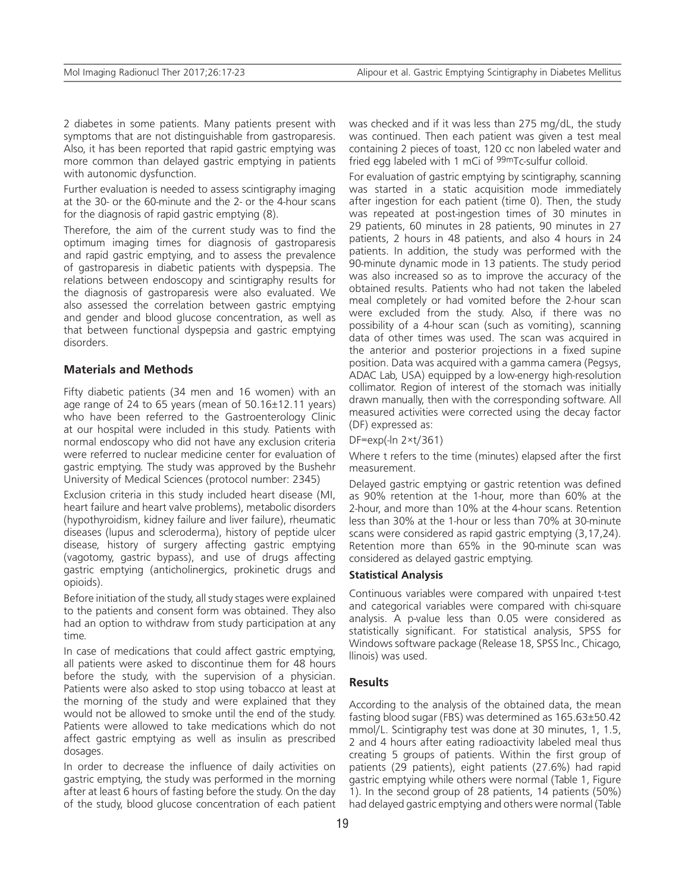2 diabetes in some patients. Many patients present with symptoms that are not distinguishable from gastroparesis. Also, it has been reported that rapid gastric emptying was more common than delayed gastric emptying in patients with autonomic dysfunction.

Further evaluation is needed to assess scintigraphy imaging at the 30- or the 60-minute and the 2- or the 4-hour scans for the diagnosis of rapid gastric emptying (8).

Therefore, the aim of the current study was to find the optimum imaging times for diagnosis of gastroparesis and rapid gastric emptying, and to assess the prevalence of gastroparesis in diabetic patients with dyspepsia. The relations between endoscopy and scintigraphy results for the diagnosis of gastroparesis were also evaluated. We also assessed the correlation between gastric emptying and gender and blood glucose concentration, as well as that between functional dyspepsia and gastric emptying disorders.

### **Materials and Methods**

Fifty diabetic patients (34 men and 16 women) with an age range of 24 to 65 years (mean of 50.16±12.11 years) who have been referred to the Gastroenterology Clinic at our hospital were included in this study. Patients with normal endoscopy who did not have any exclusion criteria were referred to nuclear medicine center for evaluation of gastric emptying. The study was approved by the Bushehr University of Medical Sciences (protocol number: 2345)

Exclusion criteria in this study included heart disease (MI, heart failure and heart valve problems), metabolic disorders (hypothyroidism, kidney failure and liver failure), rheumatic diseases (lupus and scleroderma), history of peptide ulcer disease, history of surgery affecting gastric emptying (vagotomy, gastric bypass), and use of drugs affecting gastric emptying (anticholinergics, prokinetic drugs and opioids).

Before initiation of the study, all study stages were explained to the patients and consent form was obtained. They also had an option to withdraw from study participation at any time.

In case of medications that could affect gastric emptying, all patients were asked to discontinue them for 48 hours before the study, with the supervision of a physician. Patients were also asked to stop using tobacco at least at the morning of the study and were explained that they would not be allowed to smoke until the end of the study. Patients were allowed to take medications which do not affect gastric emptying as well as insulin as prescribed dosages.

In order to decrease the influence of daily activities on gastric emptying, the study was performed in the morning after at least 6 hours of fasting before the study. On the day of the study, blood glucose concentration of each patient was checked and if it was less than 275 mg/dL, the study was continued. Then each patient was given a test meal containing 2 pieces of toast, 120 cc non labeled water and fried egg labeled with 1 mCi of 99mTc-sulfur colloid.

For evaluation of gastric emptying by scintigraphy, scanning was started in a static acquisition mode immediately after ingestion for each patient (time 0). Then, the study was repeated at post-ingestion times of 30 minutes in 29 patients, 60 minutes in 28 patients, 90 minutes in 27 patients, 2 hours in 48 patients, and also 4 hours in 24 patients. In addition, the study was performed with the 90-minute dynamic mode in 13 patients. The study period was also increased so as to improve the accuracy of the obtained results. Patients who had not taken the labeled meal completely or had vomited before the 2-hour scan were excluded from the study. Also, if there was no possibility of a 4-hour scan (such as vomiting), scanning data of other times was used. The scan was acquired in the anterior and posterior projections in a fixed supine position. Data was acquired with a gamma camera (Pegsys, ADAC Lab, USA) equipped by a low-energy high-resolution collimator. Region of interest of the stomach was initially drawn manually, then with the corresponding software. All measured activities were corrected using the decay factor (DF) expressed as:

DF=exp(-ln 2×t/361)

Where t refers to the time (minutes) elapsed after the first measurement.

Delayed gastric emptying or gastric retention was defined as 90% retention at the 1-hour, more than 60% at the 2-hour, and more than 10% at the 4-hour scans. Retention less than 30% at the 1-hour or less than 70% at 30-minute scans were considered as rapid gastric emptying (3,17,24). Retention more than 65% in the 90-minute scan was considered as delayed gastric emptying.

## **Statistical Analysis**

Continuous variables were compared with unpaired t-test and categorical variables were compared with chi-square analysis. A p-value less than 0.05 were considered as statistically significant. For statistical analysis, SPSS for Windows software package (Release 18, SPSS lnc., Chicago, llinois) was used.

#### **Results**

According to the analysis of the obtained data, the mean fasting blood sugar (FBS) was determined as 165.63±50.42 mmol/L. Scintigraphy test was done at 30 minutes, 1, 1.5, 2 and 4 hours after eating radioactivity labeled meal thus creating 5 groups of patients. Within the first group of patients (29 patients), eight patients (27.6%) had rapid gastric emptying while others were normal (Table 1, Figure 1). In the second group of 28 patients, 14 patients (50%) had delayed gastric emptying and others were normal (Table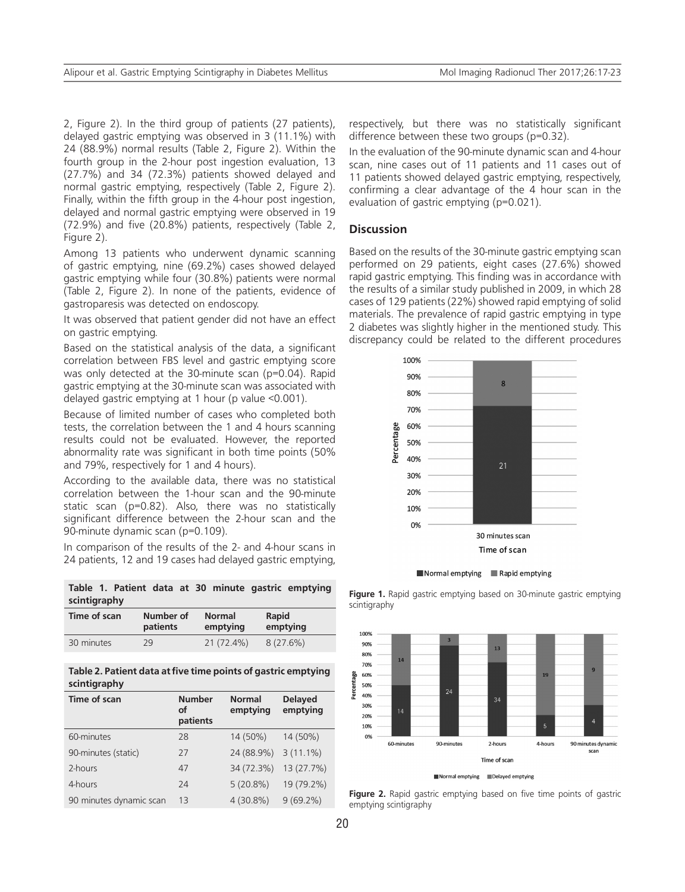2. Figure 2). In the third group of patients (27 patients), delayed gastric emptying was observed in 3 (11.1%) with 24 (88.9%) normal results (Table 2, Figure 2). Within the fourth group in the 2-hour post ingestion evaluation, 13 (27.7%) and 34 (72.3%) patients showed delayed and normal gastric emptying, respectively (Table 2, Figure 2). Finally, within the fifth group in the 4-hour post ingestion, delayed and normal gastric emptying were observed in 19 (72.9%) and five (20.8%) patients, respectively (Table 2, Figure 2).

Among 13 patients who underwent dynamic scanning of gastric emptying, nine (69.2%) cases showed delayed gastric emptying while four (30.8%) patients were normal (Table 2, Figure 2). In none of the patients, evidence of gastroparesis was detected on endoscopy.

It was observed that patient gender did not have an effect on gastric emptying.

Based on the statistical analysis of the data, a significant correlation between FBS level and gastric emptying score was only detected at the 30-minute scan (p=0.04). Rapid gastric emptying at the 30-minute scan was associated with delayed gastric emptying at 1 hour (p value <0.001).

Because of limited number of cases who completed both tests, the correlation between the 1 and 4 hours scanning results could not be evaluated. However, the reported abnormality rate was significant in both time points (50% and 79%, respectively for 1 and 4 hours).

According to the available data, there was no statistical correlation between the 1-hour scan and the 90-minute static scan (p=0.82). Also, there was no statistically significant difference between the 2-hour scan and the 90-minute dynamic scan (p=0.109).

In comparison of the results of the 2- and 4-hour scans in 24 patients, 12 and 19 cases had delayed gastric emptying,

**Table 1. Patient data at 30 minute gastric emptying scintigraphy**

| Time of scan | Number of | <b>Normal</b> | Rapid       |
|--------------|-----------|---------------|-------------|
|              | patients  | emptying      | emptying    |
| 30 minutes   | 29        | 21 (72.4%)    | $8(27.6\%)$ |

**Table 2. Patient data at five time points of gastric emptying scintigraphy**

| Time of scan            | <b>Number</b><br>οf<br>patients | <b>Normal</b><br>emptying | <b>Delayed</b><br>emptying |
|-------------------------|---------------------------------|---------------------------|----------------------------|
| 60-minutes              | 28                              | 14 (50%)                  | 14 (50%)                   |
| 90-minutes (static)     | 27                              | 24 (88.9%)                | $3(11.1\%)$                |
| 2-hours                 | 47                              | 34 (72.3%)                | 13 (27.7%)                 |
| 4-hours                 | 24                              | $5(20.8\%)$               | 19 (79.2%)                 |
| 90 minutes dynamic scan | 13                              | $4(30.8\%)$               | $9(69.2\%)$                |

respectively, but there was no statistically significant difference between these two groups (p=0.32).

In the evaluation of the 90-minute dynamic scan and 4-hour scan, nine cases out of 11 patients and 11 cases out of 11 patients showed delayed gastric emptying, respectively, confirming a clear advantage of the 4 hour scan in the evaluation of gastric emptying (p=0.021).

#### **Discussion**

Based on the results of the 30-minute gastric emptying scan performed on 29 patients, eight cases (27.6%) showed rapid gastric emptying. This finding was in accordance with the results of a similar study published in 2009, in which 28 cases of 129 patients (22%) showed rapid emptying of solid materials. The prevalence of rapid gastric emptying in type 2 diabetes was slightly higher in the mentioned study. This discrepancy could be related to the different procedures



Normal emptying Rapid emptying

Figure 1. Rapid gastric emptying based on 30-minute gastric emptying scintigraphy



Normal emptying Delayed emptying

**Figure 2.** Rapid gastric emptying based on five time points of gastric emptying scintigraphy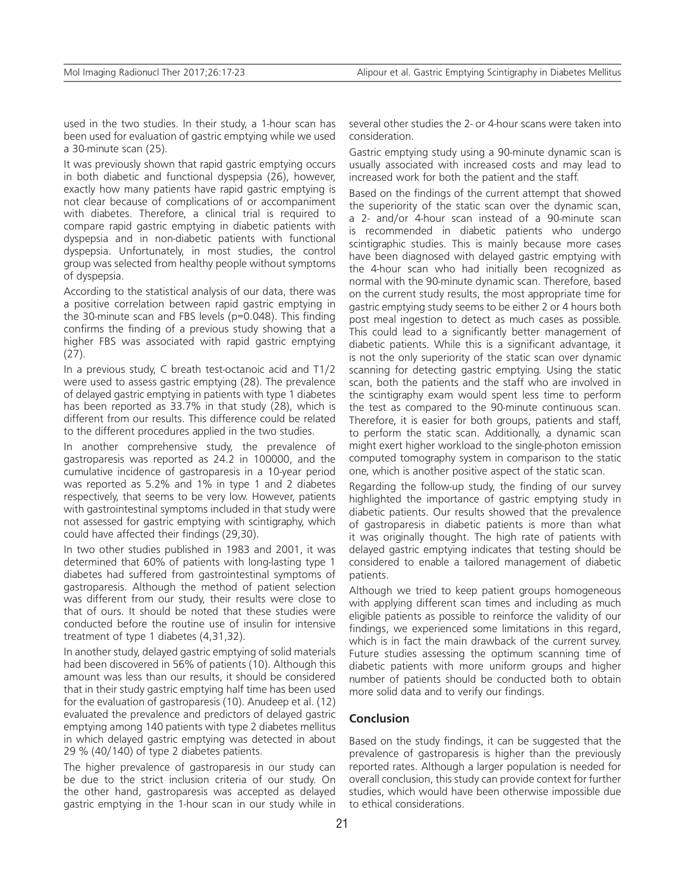used in the two studies. In their study, a 1-hour scan has been used for evaluation of gastric emptying while we used a 30-minute scan (25).

It was previously shown that rapid gastric emptying occurs in both diabetic and functional dyspepsia (26), however, exactly how many patients have rapid gastric emptying is not clear because of complications of or accompaniment with diabetes. Therefore, a clinical trial is required to compare rapid gastric emptying in diabetic patients with dyspepsia and in non-diabetic patients with functional dyspepsia. Unfortunately, in most studies, the control group was selected from healthy people without symptoms of dyspepsia.

According to the statistical analysis of our data, there was a positive correlation between rapid gastric emptying in the 30-minute scan and FBS levels (p=0.048). This finding confirms the finding of a previous study showing that a higher FBS was associated with rapid gastric emptying (27).

In a previous study, C breath test-octanoic acid and T1/2 were used to assess gastric emptying (28). The prevalence of delayed gastric emptying in patients with type 1 diabetes has been reported as 33.7% in that study (28), which is different from our results. This difference could be related to the different procedures applied in the two studies.

In another comprehensive study, the prevalence of gastroparesis was reported as 24.2 in 100000, and the cumulative incidence of gastroparesis in a 10-year period was reported as 5.2% and 1% in type 1 and 2 diabetes respectively, that seems to be very low. However, patients with gastrointestinal symptoms included in that study were not assessed for gastric emptying with scintigraphy, which could have affected their findings (29,30).

In two other studies published in 1983 and 2001, it was determined that 60% of patients with long-lasting type 1 diabetes had suffered from gastrointestinal symptoms of gastroparesis. Although the method of patient selection was different from our study, their results were close to that of ours. It should be noted that these studies were conducted before the routine use of insulin for intensive treatment of type 1 diabetes (4,31,32).

In another study, delayed gastric emptying of solid materials had been discovered in 56% of patients (10). Although this amount was less than our results, it should be considered that in their study gastric emptying half time has been used for the evaluation of gastroparesis (10). Anudeep et al. (12) evaluated the prevalence and predictors of delayed gastric emptying among 140 patients with type 2 diabetes mellitus in which delayed gastric emptying was detected in about 29 % (40/140) of type 2 diabetes patients.

The higher prevalence of gastroparesis in our study can be due to the strict inclusion criteria of our study. On the other hand, gastroparesis was accepted as delayed gastric emptying in the 1-hour scan in our study while in several other studies the 2- or 4-hour scans were taken into consideration.

Gastric emptying study using a 90-minute dynamic scan is usually associated with increased costs and may lead to increased work for both the patient and the staff.

Based on the findings of the current attempt that showed the superiority of the static scan over the dynamic scan, a 2- and/or 4-hour scan instead of a 90-minute scan is recommended in diabetic patients who undergo scintigraphic studies. This is mainly because more cases have been diagnosed with delayed gastric emptying with the 4-hour scan who had initially been recognized as normal with the 90-minute dynamic scan. Therefore, based on the current study results, the most appropriate time for gastric emptying study seems to be either 2 or 4 hours both post meal ingestion to detect as much cases as possible. This could lead to a significantly better management of diabetic patients. While this is a significant advantage, it is not the only superiority of the static scan over dynamic scanning for detecting gastric emptying. Using the static scan, both the patients and the staff who are involved in the scintigraphy exam would spent less time to perform the test as compared to the 90-minute continuous scan. Therefore, it is easier for both groups, patients and staff, to perform the static scan. Additionally, a dynamic scan might exert higher workload to the single-photon emission computed tomography system in comparison to the static one, which is another positive aspect of the static scan.

Regarding the follow-up study, the finding of our survey highlighted the importance of gastric emptying study in diabetic patients. Our results showed that the prevalence of gastroparesis in diabetic patients is more than what it was originally thought. The high rate of patients with delayed gastric emptying indicates that testing should be considered to enable a tailored management of diabetic patients.

Although we tried to keep patient groups homogeneous with applying different scan times and including as much eligible patients as possible to reinforce the validity of our findings, we experienced some limitations in this regard, which is in fact the main drawback of the current survey. Future studies assessing the optimum scanning time of diabetic patients with more uniform groups and higher number of patients should be conducted both to obtain more solid data and to verify our findings.

#### **Conclusion**

Based on the study findings, it can be suggested that the prevalence of gastroparesis is higher than the previously reported rates. Although a larger population is needed for overall conclusion, this study can provide context for further studies, which would have been otherwise impossible due to ethical considerations.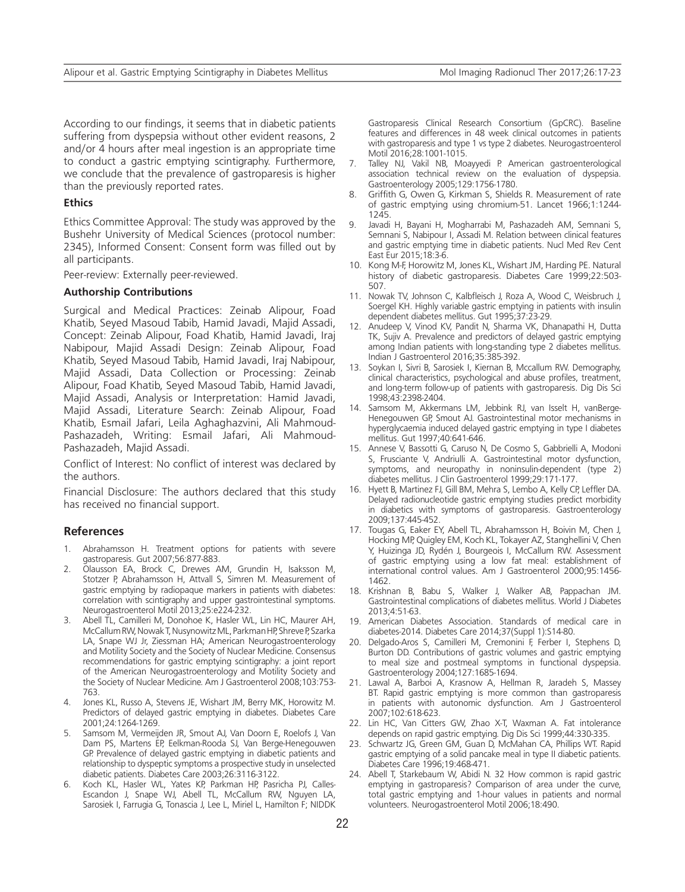According to our findings, it seems that in diabetic patients suffering from dyspepsia without other evident reasons, 2 and/or 4 hours after meal ingestion is an appropriate time to conduct a gastric emptying scintigraphy. Furthermore, we conclude that the prevalence of gastroparesis is higher than the previously reported rates.

### **Ethics**

Ethics Committee Approval: The study was approved by the Bushehr University of Medical Sciences (protocol number: 2345), Informed Consent: Consent form was filled out by all participants.

Peer-review: Externally peer-reviewed.

#### **Authorship Contributions**

Surgical and Medical Practices: Zeinab Alipour, Foad Khatib, Seyed Masoud Tabib, Hamid Javadi, Majid Assadi, Concept: Zeinab Alipour, Foad Khatib, Hamid Javadi, Iraj Nabipour, Majid Assadi Design: Zeinab Alipour, Foad Khatib, Seyed Masoud Tabib, Hamid Javadi, Iraj Nabipour, Majid Assadi, Data Collection or Processing: Zeinab Alipour, Foad Khatib, Seyed Masoud Tabib, Hamid Javadi, Majid Assadi, Analysis or Interpretation: Hamid Javadi, Majid Assadi, Literature Search: Zeinab Alipour, Foad Khatib, Esmail Jafari, Leila Aghaghazvini, Ali Mahmoud-Pashazadeh, Writing: Esmail Jafari, Ali Mahmoud-Pashazadeh, Majid Assadi.

Conflict of Interest: No conflict of interest was declared by the authors.

Financial Disclosure: The authors declared that this study has received no financial support.

#### **References**

- 1. Abrahamsson H. Treatment options for patients with severe gastroparesis. Gut 2007;56:877-883.
- 2. Olausson EA, Brock C, Drewes AM, Grundin H, Isaksson M, Stotzer P, Abrahamsson H, Attvall S, Simren M. Measurement of gastric emptying by radiopaque markers in patients with diabetes: correlation with scintigraphy and upper gastrointestinal symptoms. Neurogastroenterol Motil 2013;25:e224-232.
- 3. Abell TL, Camilleri M, Donohoe K, Hasler WL, Lin HC, Maurer AH, McCallum RW, Nowak T, Nusynowitz ML, Parkman HP, Shreve P, Szarka LA, Snape WJ Jr, Ziessman HA; American Neurogastroenterology and Motility Society and the Society of Nuclear Medicine. Consensus recommendations for gastric emptying scintigraphy: a joint report of the American Neurogastroenterology and Motility Society and the Society of Nuclear Medicine. Am J Gastroenterol 2008;103:753-763.
- 4. Jones KL, Russo A, Stevens JE, Wishart JM, Berry MK, Horowitz M. Predictors of delayed gastric emptying in diabetes. Diabetes Care 2001;24:1264-1269.
- 5. Samsom M, Vermeijden JR, Smout AJ, Van Doorn E, Roelofs J, Van Dam PS, Martens EP, Eelkman-Rooda SJ, Van Berge-Henegouwen GP. Prevalence of delayed gastric emptying in diabetic patients and relationship to dyspeptic symptoms a prospective study in unselected diabetic patients. Diabetes Care 2003;26:3116-3122.
- 6. Koch KL, Hasler WL, Yates KP, Parkman HP, Pasricha PJ, Calles-Escandon J, Snape WJ, Abell TL, McCallum RW, Nguyen LA, Sarosiek I, Farrugia G, Tonascia J, Lee L, Miriel L, Hamilton F; NIDDK

Gastroparesis Clinical Research Consortium (GpCRC). Baseline features and differences in 48 week clinical outcomes in patients with gastroparesis and type 1 vs type 2 diabetes. Neurogastroenterol Motil 2016;28:1001-1015.

- 7. Talley NJ, Vakil NB, Moayyedi P. American gastroenterological association technical review on the evaluation of dyspepsia. Gastroenterology 2005;129:1756-1780.
- 8. Griffith G, Owen G, Kirkman S, Shields R. Measurement of rate of gastric emptying using chromium-51. Lancet 1966;1:1244- 1245.
- 9. Javadi H, Bayani H, Mogharrabi M, Pashazadeh AM, Semnani S, Semnani S, Nabipour I, Assadi M. Relation between clinical features and gastric emptying time in diabetic patients. Nucl Med Rev Cent East Eur 2015;18:3-6.
- 10. Kong M-F, Horowitz M, Jones KL, Wishart JM, Harding PE. Natural history of diabetic gastroparesis. Diabetes Care 1999;22:503- 507.
- 11. Nowak TV, Johnson C, Kalbfleisch J, Roza A, Wood C, Weisbruch J, Soergel KH. Highly variable gastric emptying in patients with insulin dependent diabetes mellitus. Gut 1995;37:23-29.
- 12. Anudeep V, Vinod KV, Pandit N, Sharma VK, Dhanapathi H, Dutta TK, Sujiv A. Prevalence and predictors of delayed gastric emptying among Indian patients with long-standing type 2 diabetes mellitus. Indian J Gastroenterol 2016;35:385-392.
- 13. Soykan I, Sivri B, Sarosiek I, Kiernan B, Mccallum RW. Demography, clinical characteristics, psychological and abuse profiles, treatment, and long-term follow-up of patients with gastroparesis. Dig Dis Sci 1998;43:2398-2404.
- 14. Samsom M, Akkermans LM, Jebbink RJ, van Isselt H, vanBerge-Henegouwen GP, Smout AJ. Gastrointestinal motor mechanisms in hyperglycaemia induced delayed gastric emptying in type I diabetes mellitus. Gut 1997;40:641-646.
- 15. Annese V, Bassotti G, Caruso N, De Cosmo S, Gabbrielli A, Modoni S, Frusciante V, Andriulli A. Gastrointestinal motor dysfunction, symptoms, and neuropathy in noninsulin-dependent (type 2) diabetes mellitus. J Clin Gastroenterol 1999;29:171-177.
- 16. Hyett B, Martinez FJ, Gill BM, Mehra S, Lembo A, Kelly CP, Leffler DA. Delayed radionucleotide gastric emptying studies predict morbidity in diabetics with symptoms of gastroparesis. Gastroenterology 2009;137:445-452.
- 17. Tougas G, Eaker EY, Abell TL, Abrahamsson H, Boivin M, Chen J, Hocking MP, Quigley EM, Koch KL, Tokayer AZ, Stanghellini V, Chen Y, Huizinga JD, Rydén J, Bourgeois I, McCallum RW. Assessment of gastric emptying using a low fat meal: establishment of international control values. Am J Gastroenterol 2000;95:1456- 1462.
- 18. Krishnan B, Babu S, Walker J, Walker AB, Pappachan JM. Gastrointestinal complications of diabetes mellitus. World J Diabetes 2013;4:51-63.
- 19. American Diabetes Association. Standards of medical care in diabetes-2014. Diabetes Care 2014;37(Suppl 1):S14-80.
- 20. Delgado-Aros S, Camilleri M, Cremonini F, Ferber I, Stephens D, Burton DD. Contributions of gastric volumes and gastric emptying to meal size and postmeal symptoms in functional dyspepsia. Gastroenterology 2004;127:1685-1694.
- 21. Lawal A, Barboi A, Krasnow A, Hellman R, Jaradeh S, Massey BT. Rapid gastric emptying is more common than gastroparesis in patients with autonomic dysfunction. Am J Gastroenterol 2007;102:618-623.
- 22. Lin HC, Van Citters GW, Zhao X-T, Waxman A. Fat intolerance depends on rapid gastric emptying. Dig Dis Sci 1999;44:330-335.
- 23. Schwartz JG, Green GM, Guan D, McMahan CA, Phillips WT. Rapid gastric emptying of a solid pancake meal in type II diabetic patients. Diabetes Care 1996;19:468-471.
- 24. Abell T, Starkebaum W, Abidi N. 32 How common is rapid gastric emptying in gastroparesis? Comparison of area under the curve, total gastric emptying and 1-hour values in patients and normal volunteers. Neurogastroenterol Motil 2006;18:490.